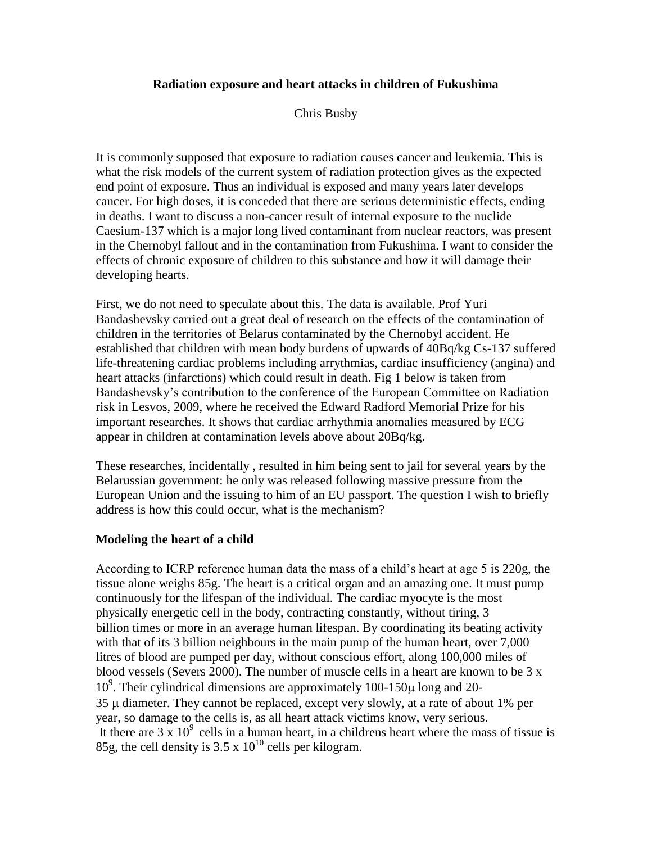# **Radiation exposure and heart attacks in children of Fukushima**

Chris Busby

It is commonly supposed that exposure to radiation causes cancer and leukemia. This is what the risk models of the current system of radiation protection gives as the expected end point of exposure. Thus an individual is exposed and many years later develops cancer. For high doses, it is conceded that there are serious deterministic effects, ending in deaths. I want to discuss a non-cancer result of internal exposure to the nuclide Caesium-137 which is a major long lived contaminant from nuclear reactors, was present in the Chernobyl fallout and in the contamination from Fukushima. I want to consider the effects of chronic exposure of children to this substance and how it will damage their developing hearts.

First, we do not need to speculate about this. The data is available. Prof Yuri Bandashevsky carried out a great deal of research on the effects of the contamination of children in the territories of Belarus contaminated by the Chernobyl accident. He established that children with mean body burdens of upwards of 40Bq/kg Cs-137 suffered life-threatening cardiac problems including arrythmias, cardiac insufficiency (angina) and heart attacks (infarctions) which could result in death. Fig 1 below is taken from Bandashevsky's contribution to the conference of the European Committee on Radiation risk in Lesvos, 2009, where he received the Edward Radford Memorial Prize for his important researches. It shows that cardiac arrhythmia anomalies measured by ECG appear in children at contamination levels above about 20Bq/kg.

These researches, incidentally , resulted in him being sent to jail for several years by the Belarussian government: he only was released following massive pressure from the European Union and the issuing to him of an EU passport. The question I wish to briefly address is how this could occur, what is the mechanism?

## **Modeling the heart of a child**

According to ICRP reference human data the mass of a child's heart at age 5 is 220g, the tissue alone weighs 85g. The heart is a critical organ and an amazing one. It must pump continuously for the lifespan of the individual. The cardiac myocyte is the most physically energetic cell in the body, contracting constantly, without tiring, 3 billion times or more in an average human lifespan. By coordinating its beating activity with that of its 3 billion neighbours in the main pump of the human heart, over 7,000 litres of blood are pumped per day, without conscious effort, along 100,000 miles of blood vessels (Severs 2000). The number of muscle cells in a heart are known to be 3 x  $10<sup>9</sup>$ . Their cylindrical dimensions are approximately 100-150 $\mu$  long and 20- $35 \mu$  diameter. They cannot be replaced, except very slowly, at a rate of about 1% per year, so damage to the cells is, as all heart attack victims know, very serious. It there are  $3 \times 10^9$  cells in a human heart, in a childrens heart where the mass of tissue is 85g, the cell density is  $3.5 \times 10^{10}$  cells per kilogram.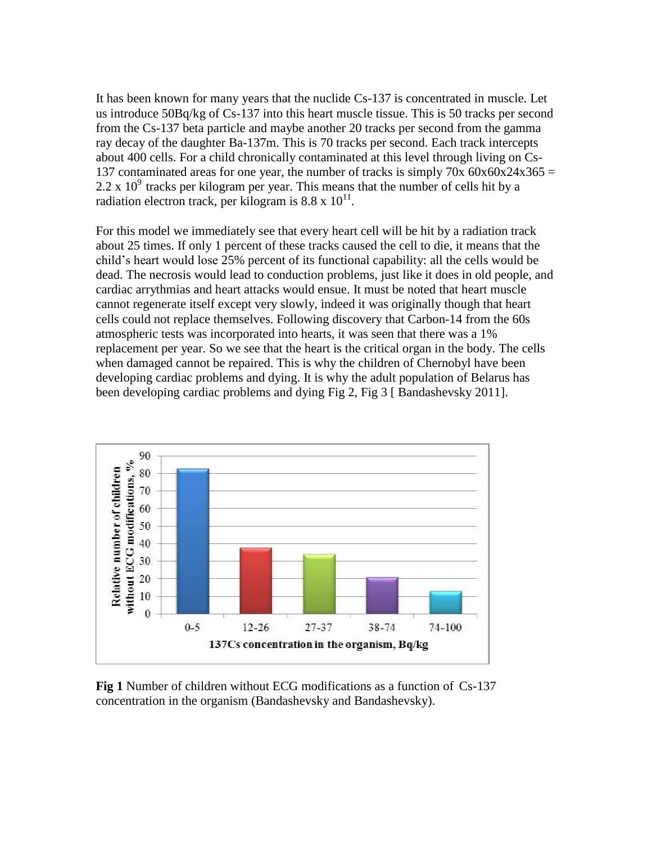It has been known for many years that the nuclide Cs-137 is concentrated in muscle. Let us introduce 50Bq/kg of Cs-137 into this heart muscle tissue. This is 50 tracks per second from the Cs-137 beta particle and maybe another 20 tracks per second from the gamma ray decay of the daughter Ba-137m. This is 70 tracks per second. Each track intercepts about 400 cells. For a child chronically contaminated at this level through living on Cs-137 contaminated areas for one year, the number of tracks is simply 70x  $60x60x24x365 =$  $2.2 \times 10^9$  tracks per kilogram per year. This means that the number of cells hit by a radiation electron track, per kilogram is  $8.8 \times 10^{11}$ .

For this model we immediately see that every heart cell will be hit by a radiation track about 25 times. If only 1 percent of these tracks caused the cell to die, it means that the child's heart would lose 25% percent of its functional capability: all the cells would be dead. The necrosis would lead to conduction problems, just like it does in old people, and cardiac arrythmias and heart attacks would ensue. It must be noted that heart muscle cannot regenerate itself except very slowly, indeed it was originally though that heart cells could not replace themselves. Following discovery that Carbon-14 from the 60s atmospheric tests was incorporated into hearts, it was seen that there was a 1% replacement per year. So we see that the heart is the critical organ in the body. The cells when damaged cannot be repaired. This is why the children of Chernobyl have been developing cardiac problems and dying. It is why the adult population of Belarus has been developing cardiac problems and dying Fig 2, Fig 3 [ Bandashevsky 2011].



**Fig 1** Number of children without ECG modifications as a function of Cs-137 concentration in the organism (Bandashevsky and Bandashevsky).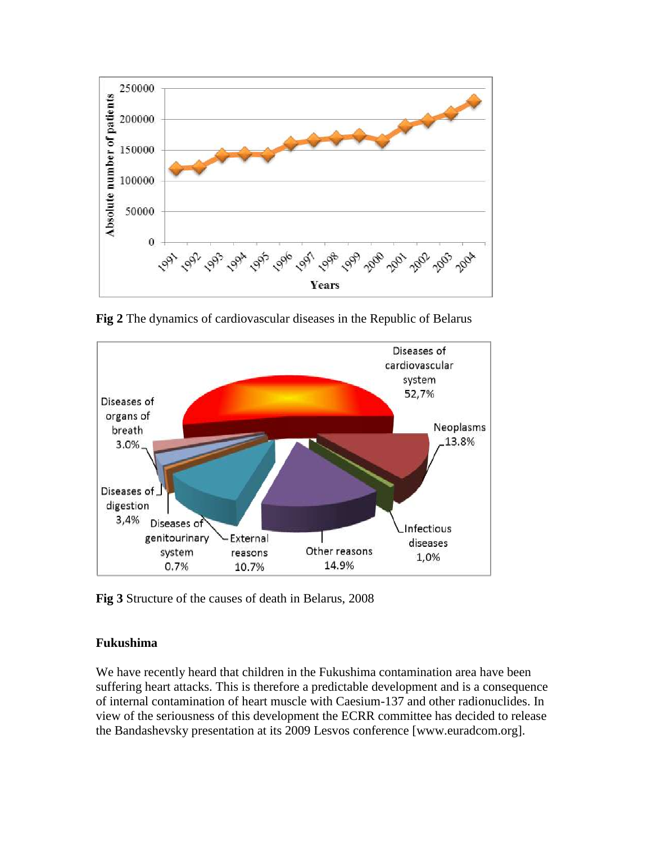

**Fig 2** The dynamics of cardiovascular diseases in the Republic of Belarus



**Fig 3** Structure of the causes of death in Belarus, 2008

## **Fukushima**

We have recently heard that children in the Fukushima contamination area have been suffering heart attacks. This is therefore a predictable development and is a consequence of internal contamination of heart muscle with Caesium-137 and other radionuclides. In view of the seriousness of this development the ECRR committee has decided to release the Bandashevsky presentation at its 2009 Lesvos conference [www.euradcom.org].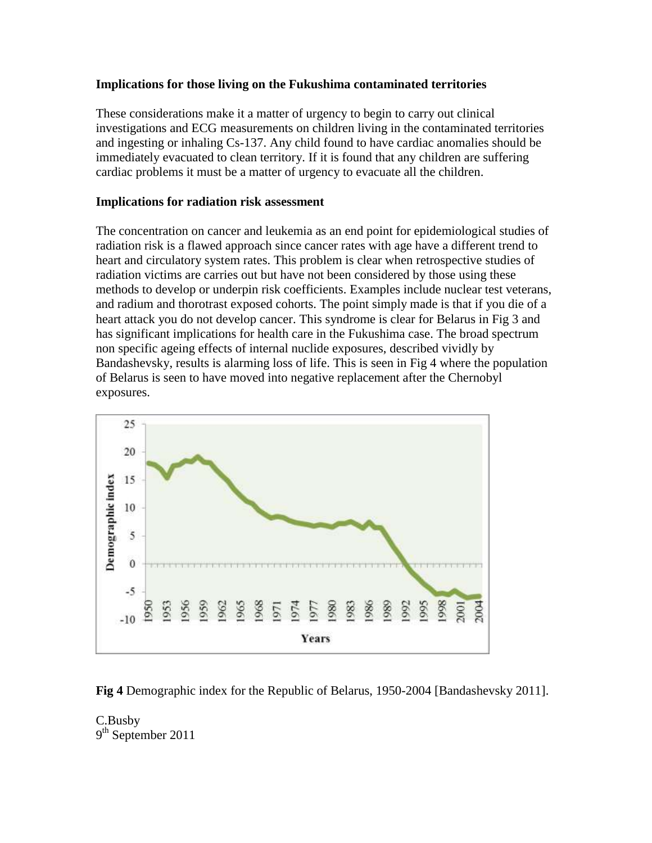# **Implications for those living on the Fukushima contaminated territories**

These considerations make it a matter of urgency to begin to carry out clinical investigations and ECG measurements on children living in the contaminated territories and ingesting or inhaling Cs-137. Any child found to have cardiac anomalies should be immediately evacuated to clean territory. If it is found that any children are suffering cardiac problems it must be a matter of urgency to evacuate all the children.

# **Implications for radiation risk assessment**

The concentration on cancer and leukemia as an end point for epidemiological studies of radiation risk is a flawed approach since cancer rates with age have a different trend to heart and circulatory system rates. This problem is clear when retrospective studies of radiation victims are carries out but have not been considered by those using these methods to develop or underpin risk coefficients. Examples include nuclear test veterans, and radium and thorotrast exposed cohorts. The point simply made is that if you die of a heart attack you do not develop cancer. This syndrome is clear for Belarus in Fig 3 and has significant implications for health care in the Fukushima case. The broad spectrum non specific ageing effects of internal nuclide exposures, described vividly by Bandashevsky, results is alarming loss of life. This is seen in Fig 4 where the population of Belarus is seen to have moved into negative replacement after the Chernobyl exposures.



**Fig 4** Demographic index for the Republic of Belarus, 1950-2004 [Bandashevsky 2011].

C.Busby 9<sup>th</sup> September 2011